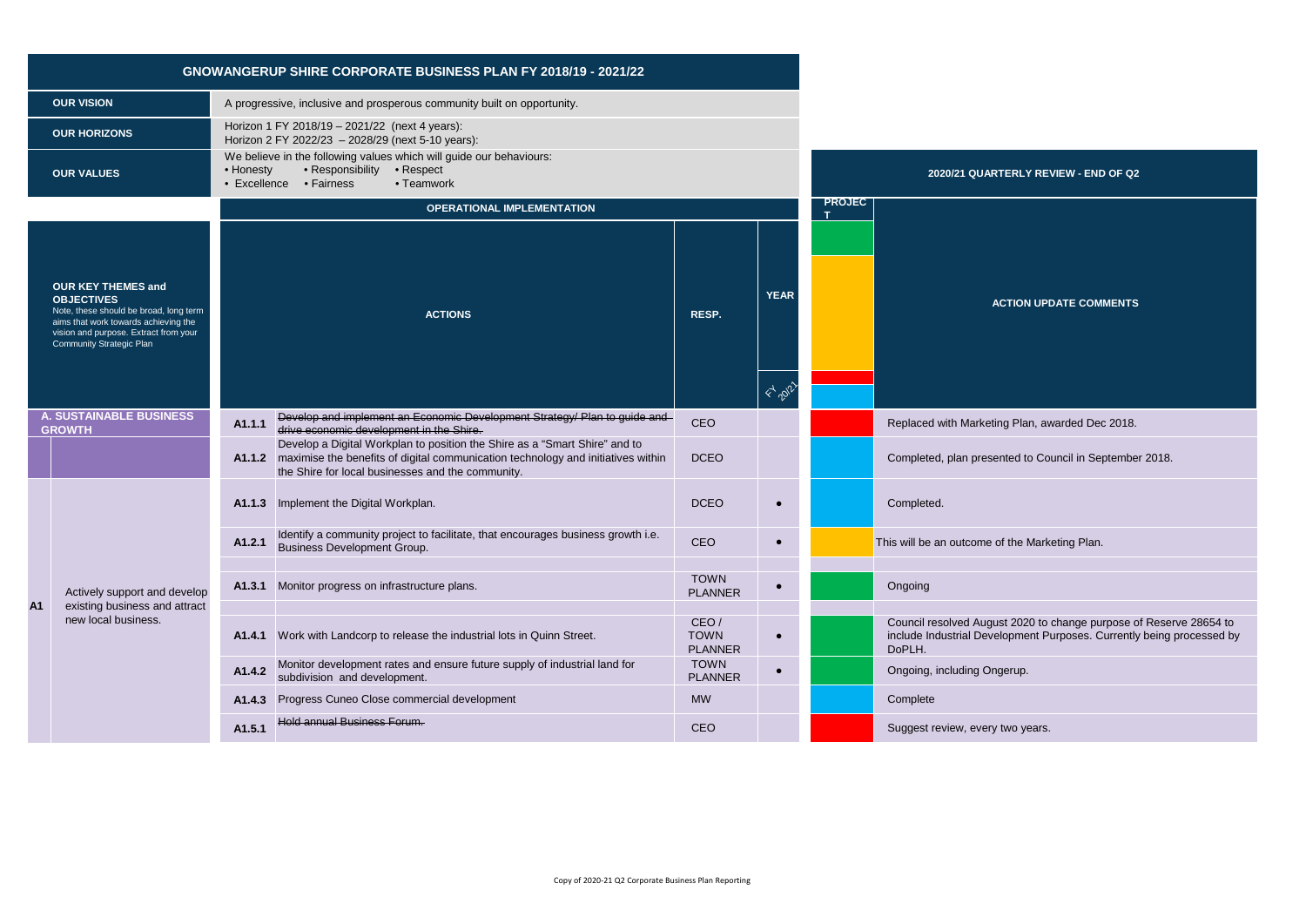|                                                                                                                                                                                                       |                                                               | <b>GNOWANGERUP SHIRE CORPORATE BUSINESS PLAN FY 2018/19 - 2021/22</b>                                                                                                                                                      |                                       |                                      |               |                                                                                                                                                       |
|-------------------------------------------------------------------------------------------------------------------------------------------------------------------------------------------------------|---------------------------------------------------------------|----------------------------------------------------------------------------------------------------------------------------------------------------------------------------------------------------------------------------|---------------------------------------|--------------------------------------|---------------|-------------------------------------------------------------------------------------------------------------------------------------------------------|
|                                                                                                                                                                                                       | <b>OUR VISION</b>                                             | A progressive, inclusive and prosperous community built on opportunity.                                                                                                                                                    |                                       |                                      |               |                                                                                                                                                       |
|                                                                                                                                                                                                       | <b>OUR HORIZONS</b>                                           | Horizon 1 FY 2018/19 - 2021/22 (next 4 years):<br>Horizon 2 FY 2022/23 - 2028/29 (next 5-10 years):                                                                                                                        |                                       |                                      |               |                                                                                                                                                       |
|                                                                                                                                                                                                       | <b>OUR VALUES</b>                                             | We believe in the following values which will guide our behaviours:<br>• Responsibility • Respect<br>• Honesty<br>• Excellence • Fairness<br>• Teamwork                                                                    | 2020/21 QUARTERLY REVIEW - END OF Q2  |                                      |               |                                                                                                                                                       |
|                                                                                                                                                                                                       |                                                               | <b>OPERATIONAL IMPLEMENTATION</b>                                                                                                                                                                                          |                                       |                                      | <b>PROJEC</b> |                                                                                                                                                       |
| <b>OUR KEY THEMES and</b><br><b>OBJECTIVES</b><br>Note, these should be broad, long term<br>aims that work towards achieving the<br>vision and purpose. Extract from your<br>Community Strategic Plan |                                                               | <b>ACTIONS</b>                                                                                                                                                                                                             | RESP.                                 | <b>YEAR</b><br>$\leftarrow$ $20^{7}$ |               | <b>ACTION UPDATE COMMENTS</b>                                                                                                                         |
|                                                                                                                                                                                                       | <b>A. SUSTAINABLE BUSINESS</b><br><b>GROWTH</b>               | Develop and implement an Economic Development Strategy/ Plan to guide and<br>A1.1.1<br>drive economic development in the Shire.                                                                                            | CEO                                   |                                      |               | Replaced with Marketing Plan, awarded Dec 2018.                                                                                                       |
|                                                                                                                                                                                                       |                                                               | Develop a Digital Workplan to position the Shire as a "Smart Shire" and to<br>A1.1.2 maximise the benefits of digital communication technology and initiatives within<br>the Shire for local businesses and the community. | <b>DCEO</b>                           |                                      |               | Completed, plan presented to Council in September 2018.                                                                                               |
|                                                                                                                                                                                                       |                                                               | A1.1.3 Implement the Digital Workplan.                                                                                                                                                                                     | <b>DCEO</b>                           | $\bullet$                            |               | Completed.                                                                                                                                            |
|                                                                                                                                                                                                       |                                                               | Identify a community project to facilitate, that encourages business growth i.e.<br>A1.2.1<br><b>Business Development Group.</b>                                                                                           | CEO                                   | $\bullet$                            |               | This will be an outcome of the Marketing Plan.                                                                                                        |
| A1                                                                                                                                                                                                    | Actively support and develop<br>existing business and attract | Monitor progress on infrastructure plans.<br>A1.3.1                                                                                                                                                                        | <b>TOWN</b><br><b>PLANNER</b>         |                                      |               | Ongoing                                                                                                                                               |
|                                                                                                                                                                                                       | new local business.                                           | A1.4.1 Work with Landcorp to release the industrial lots in Quinn Street.                                                                                                                                                  | CEO/<br><b>TOWN</b><br><b>PLANNER</b> | $\bullet$                            |               | Council resolved August 2020 to change purpose of Reserve 28654 to<br>include Industrial Development Purposes. Currently being processed by<br>DoPLH. |
|                                                                                                                                                                                                       |                                                               | Monitor development rates and ensure future supply of industrial land for<br>A1.4.2<br>subdivision and development.                                                                                                        | <b>TOWN</b><br><b>PLANNER</b>         | $\bullet$                            |               | Ongoing, including Ongerup.                                                                                                                           |
|                                                                                                                                                                                                       |                                                               | Progress Cuneo Close commercial development<br>A1.4.3                                                                                                                                                                      | <b>MW</b>                             |                                      |               | Complete                                                                                                                                              |
|                                                                                                                                                                                                       |                                                               | Hold annual Business Forum.<br>A1.5.1                                                                                                                                                                                      | CEO                                   |                                      |               | Suggest review, every two years.                                                                                                                      |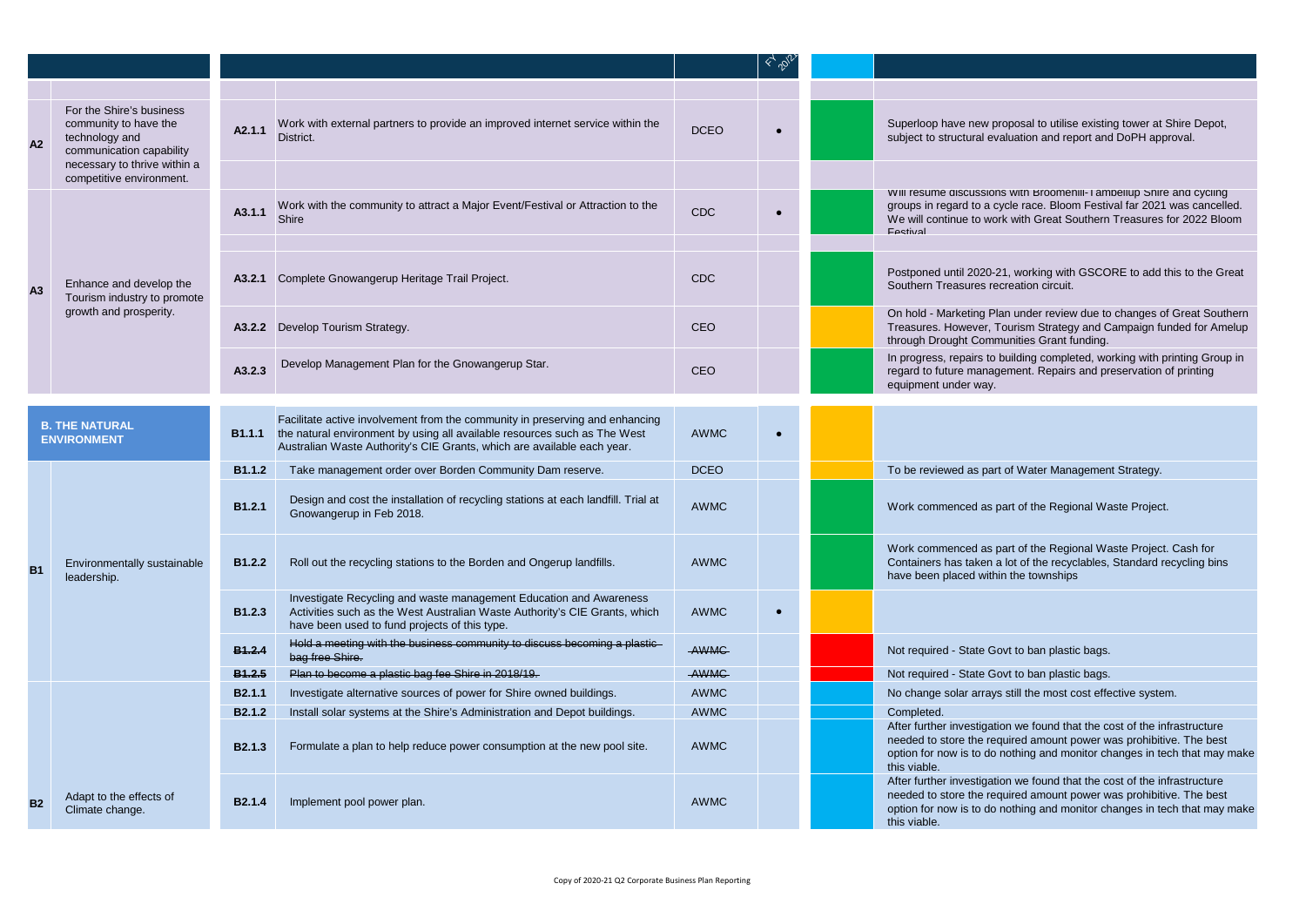| A2             | For the Shire's business<br>community to have the<br>technology and<br>communication capability<br>necessary to thrive within a | A2.1.1             | Work with external partners to provide an improved internet service within the<br>District.                                                                                                                                                        | <b>DCEO</b> |           | Superloop have new proposal to utilise existing tower at Shire Depot,<br>subject to structural evaluation and report and DoPH approval.                                                                                                      |
|----------------|---------------------------------------------------------------------------------------------------------------------------------|--------------------|----------------------------------------------------------------------------------------------------------------------------------------------------------------------------------------------------------------------------------------------------|-------------|-----------|----------------------------------------------------------------------------------------------------------------------------------------------------------------------------------------------------------------------------------------------|
|                | competitive environment.                                                                                                        |                    |                                                                                                                                                                                                                                                    |             |           |                                                                                                                                                                                                                                              |
|                |                                                                                                                                 | A3.1.1             | Work with the community to attract a Major Event/Festival or Attraction to the<br><b>Shire</b>                                                                                                                                                     | <b>CDC</b>  |           | VVIII resume discussions with Broomeniil-I ambellup Shire and cycling<br>groups in regard to a cycle race. Bloom Festival far 2021 was cancelled.<br>We will continue to work with Great Southern Treasures for 2022 Bloom<br>Festival       |
|                |                                                                                                                                 |                    |                                                                                                                                                                                                                                                    |             |           |                                                                                                                                                                                                                                              |
| A <sub>3</sub> | Enhance and develop the<br>Tourism industry to promote                                                                          |                    | A3.2.1 Complete Gnowangerup Heritage Trail Project.                                                                                                                                                                                                | <b>CDC</b>  |           | Postponed until 2020-21, working with GSCORE to add this to the Great<br>Southern Treasures recreation circuit.                                                                                                                              |
|                | growth and prosperity.                                                                                                          |                    | A3.2.2 Develop Tourism Strategy.                                                                                                                                                                                                                   | <b>CEO</b>  |           | On hold - Marketing Plan under review due to changes of Great Southern<br>Treasures. However, Tourism Strategy and Campaign funded for Amelup<br>through Drought Communities Grant funding.                                                  |
|                |                                                                                                                                 | A3.2.3             | Develop Management Plan for the Gnowangerup Star.                                                                                                                                                                                                  | <b>CEO</b>  |           | In progress, repairs to building completed, working with printing Group in<br>regard to future management. Repairs and preservation of printing<br>equipment under way.                                                                      |
|                |                                                                                                                                 |                    |                                                                                                                                                                                                                                                    |             |           |                                                                                                                                                                                                                                              |
|                | <b>B. THE NATURAL</b><br><b>ENVIRONMENT</b>                                                                                     |                    | Facilitate active involvement from the community in preserving and enhancing<br><b>B1.1.1</b> the natural environment by using all available resources such as The West<br>Australian Waste Authority's CIE Grants, which are available each year. | <b>AWMC</b> | $\bullet$ |                                                                                                                                                                                                                                              |
|                |                                                                                                                                 | <b>B1.1.2</b>      | Take management order over Borden Community Dam reserve.                                                                                                                                                                                           | <b>DCEO</b> |           | To be reviewed as part of Water Management Strategy.                                                                                                                                                                                         |
|                |                                                                                                                                 | B <sub>1.2.1</sub> | Design and cost the installation of recycling stations at each landfill. Trial at<br>Gnowangerup in Feb 2018.                                                                                                                                      | <b>AWMC</b> |           | Work commenced as part of the Regional Waste Project.                                                                                                                                                                                        |
| <b>B1</b>      | Environmentally sustainable<br>leadership.                                                                                      | B1.2.2             | Roll out the recycling stations to the Borden and Ongerup landfills.                                                                                                                                                                               | <b>AWMC</b> |           | Work commenced as part of the Regional Waste Project. Cash for<br>Containers has taken a lot of the recyclables, Standard recycling bins<br>have been placed within the townships                                                            |
|                |                                                                                                                                 | B1.2.3             | Investigate Recycling and waste management Education and Awareness<br>Activities such as the West Australian Waste Authority's CIE Grants, which<br>have been used to fund projects of this type.                                                  | <b>AWMC</b> | $\bullet$ |                                                                                                                                                                                                                                              |
|                |                                                                                                                                 | <b>B1.2.4</b>      | Hold a meeting with the business community to discuss becoming a plastic<br>bag free Shire.                                                                                                                                                        | AWMC        |           | Not required - State Govt to ban plastic bags.                                                                                                                                                                                               |
|                |                                                                                                                                 | <b>B1.2.5</b>      | Plan to become a plastic bag fee Shire in 2018/19.                                                                                                                                                                                                 | AWMC        |           | Not required - State Govt to ban plastic bags.                                                                                                                                                                                               |
|                |                                                                                                                                 | B <sub>2.1.1</sub> | Investigate alternative sources of power for Shire owned buildings.                                                                                                                                                                                | <b>AWMC</b> |           | No change solar arrays still the most cost effective system.                                                                                                                                                                                 |
|                |                                                                                                                                 | B <sub>2.1.2</sub> | Install solar systems at the Shire's Administration and Depot buildings.                                                                                                                                                                           | <b>AWMC</b> |           | Completed.                                                                                                                                                                                                                                   |
|                |                                                                                                                                 | <b>B2.1.3</b>      | Formulate a plan to help reduce power consumption at the new pool site.                                                                                                                                                                            | <b>AWMC</b> |           | After further investigation we found that the cost of the infrastructure<br>needed to store the required amount power was prohibitive. The best<br>option for now is to do nothing and monitor changes in tech that may make<br>this viable. |
| B <sub>2</sub> | Adapt to the effects of<br>Climate change.                                                                                      | B <sub>2.1.4</sub> | Implement pool power plan.                                                                                                                                                                                                                         | AWMC        |           | After further investigation we found that the cost of the infrastructure<br>needed to store the required amount power was prohibitive. The best<br>option for now is to do nothing and monitor changes in tech that may make<br>this viable. |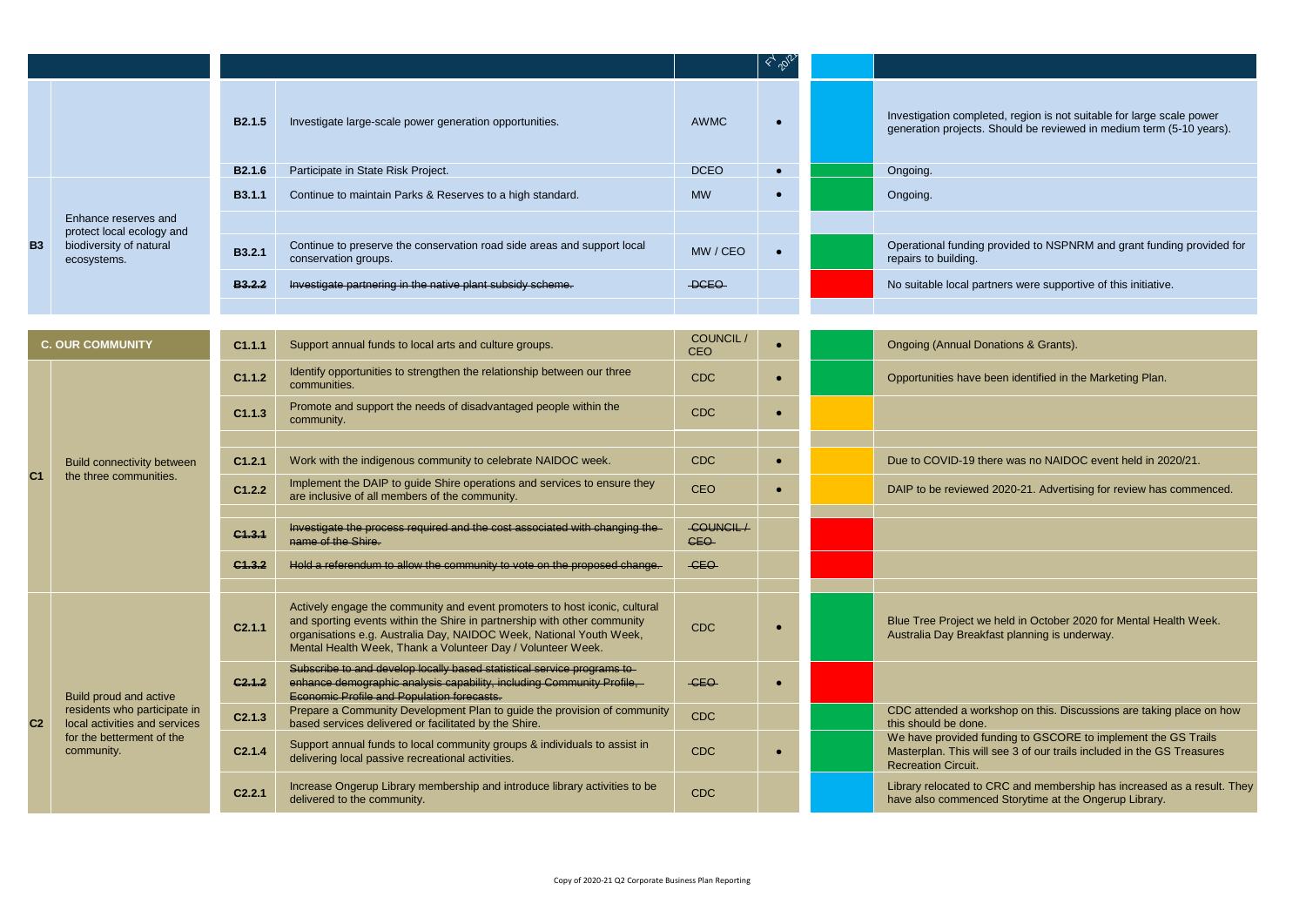|                |                                                                     |                    |                                                                                                                                                                                                                                                                                              |                        | $\leftarrow \mathcal{P}_\ell$ |                                                                                                                                                                       |
|----------------|---------------------------------------------------------------------|--------------------|----------------------------------------------------------------------------------------------------------------------------------------------------------------------------------------------------------------------------------------------------------------------------------------------|------------------------|-------------------------------|-----------------------------------------------------------------------------------------------------------------------------------------------------------------------|
|                |                                                                     | B <sub>2.1.5</sub> | Investigate large-scale power generation opportunities.                                                                                                                                                                                                                                      | <b>AWMC</b>            | $\bullet$                     | Investigation completed, region is not suitable for large scale power<br>generation projects. Should be reviewed in medium term (5-10 years).                         |
|                |                                                                     | B <sub>2.1.6</sub> | Participate in State Risk Project.                                                                                                                                                                                                                                                           | <b>DCEO</b>            |                               | Ongoing.                                                                                                                                                              |
|                |                                                                     | <b>B3.1.1</b>      | Continue to maintain Parks & Reserves to a high standard.                                                                                                                                                                                                                                    | <b>MW</b>              |                               | Ongoing.                                                                                                                                                              |
|                | Enhance reserves and                                                |                    |                                                                                                                                                                                                                                                                                              |                        |                               |                                                                                                                                                                       |
| <b>B3</b>      | protect local ecology and<br>biodiversity of natural<br>ecosystems. | B3.2.1             | Continue to preserve the conservation road side areas and support local<br>conservation groups.                                                                                                                                                                                              | MW / CEO               |                               | Operational funding provided to NSPNRM and grant funding provided for<br>repairs to building.                                                                         |
|                |                                                                     | B3, 2, 2           | Investigate partnering in the native plant subsidy scheme.                                                                                                                                                                                                                                   | -DCEO-                 |                               | No suitable local partners were supportive of this initiative.                                                                                                        |
|                |                                                                     |                    |                                                                                                                                                                                                                                                                                              |                        |                               |                                                                                                                                                                       |
|                | <b>C. OUR COMMUNITY</b>                                             | C1.1.1             | Support annual funds to local arts and culture groups.                                                                                                                                                                                                                                       | COUNCIL/<br>CEO        |                               | Ongoing (Annual Donations & Grants).                                                                                                                                  |
|                | <b>Build connectivity between</b><br>the three communities.         | C1.1.2             | Identify opportunities to strengthen the relationship between our three<br>communities.                                                                                                                                                                                                      | <b>CDC</b>             |                               | Opportunities have been identified in the Marketing Plan.                                                                                                             |
|                |                                                                     | C1.1.3             | Promote and support the needs of disadvantaged people within the<br>community.                                                                                                                                                                                                               | <b>CDC</b>             |                               |                                                                                                                                                                       |
|                |                                                                     |                    |                                                                                                                                                                                                                                                                                              |                        |                               |                                                                                                                                                                       |
| C <sub>1</sub> |                                                                     | C1.2.1             | Work with the indigenous community to celebrate NAIDOC week.                                                                                                                                                                                                                                 | <b>CDC</b>             | $\bullet$                     | Due to COVID-19 there was no NAIDOC event held in 2020/21.                                                                                                            |
|                |                                                                     | C1.2.2             | Implement the DAIP to guide Shire operations and services to ensure they<br>are inclusive of all members of the community.                                                                                                                                                                   | <b>CEO</b>             |                               | DAIP to be reviewed 2020-21. Advertising for review has commenced.                                                                                                    |
|                |                                                                     | C1.3.1             | Investigate the process required and the cost associated with changing the<br>name of the Shire.                                                                                                                                                                                             | COUNCIL/<br><b>CEO</b> |                               |                                                                                                                                                                       |
|                |                                                                     | C1.3.2             | Hold a referendum to allow the community to vote on the proposed change.                                                                                                                                                                                                                     | -CEO                   |                               |                                                                                                                                                                       |
|                |                                                                     |                    |                                                                                                                                                                                                                                                                                              |                        |                               |                                                                                                                                                                       |
|                |                                                                     | C2.1.1             | Actively engage the community and event promoters to host iconic, cultural<br>and sporting events within the Shire in partnership with other community<br>organisations e.g. Australia Day, NAIDOC Week, National Youth Week,<br>Mental Health Week, Thank a Volunteer Day / Volunteer Week. | <b>CDC</b>             |                               | Blue Tree Project we held in October 2020 for Mental Health Week.<br>Australia Day Breakfast planning is underway.                                                    |
|                | Build proud and active                                              | C2.1.2             | Subscribe to and develop locally based statistical service programs to<br>enhance demographic analysis capability, including Community Profile,<br>Economic Profile and Population forecasts.                                                                                                | -CEO                   |                               |                                                                                                                                                                       |
| C <sub>2</sub> | residents who participate in<br>local activities and services       | C2.1.3             | Prepare a Community Development Plan to guide the provision of community<br>based services delivered or facilitated by the Shire.                                                                                                                                                            | <b>CDC</b>             |                               | CDC attended a workshop on this. Discussions are taking place on how<br>this should be done.                                                                          |
|                | for the betterment of the<br>community.                             | C2.1.4             | Support annual funds to local community groups & individuals to assist in<br>delivering local passive recreational activities.                                                                                                                                                               | <b>CDC</b>             |                               | We have provided funding to GSCORE to implement the GS Trails<br>Masterplan. This will see 3 of our trails included in the GS Treasures<br><b>Recreation Circuit.</b> |
|                |                                                                     | C <sub>2.2.1</sub> | Increase Ongerup Library membership and introduce library activities to be<br>delivered to the community.                                                                                                                                                                                    | <b>CDC</b>             |                               | Library relocated to CRC and membership has increased as a result. They<br>have also commenced Storytime at the Ongerup Library.                                      |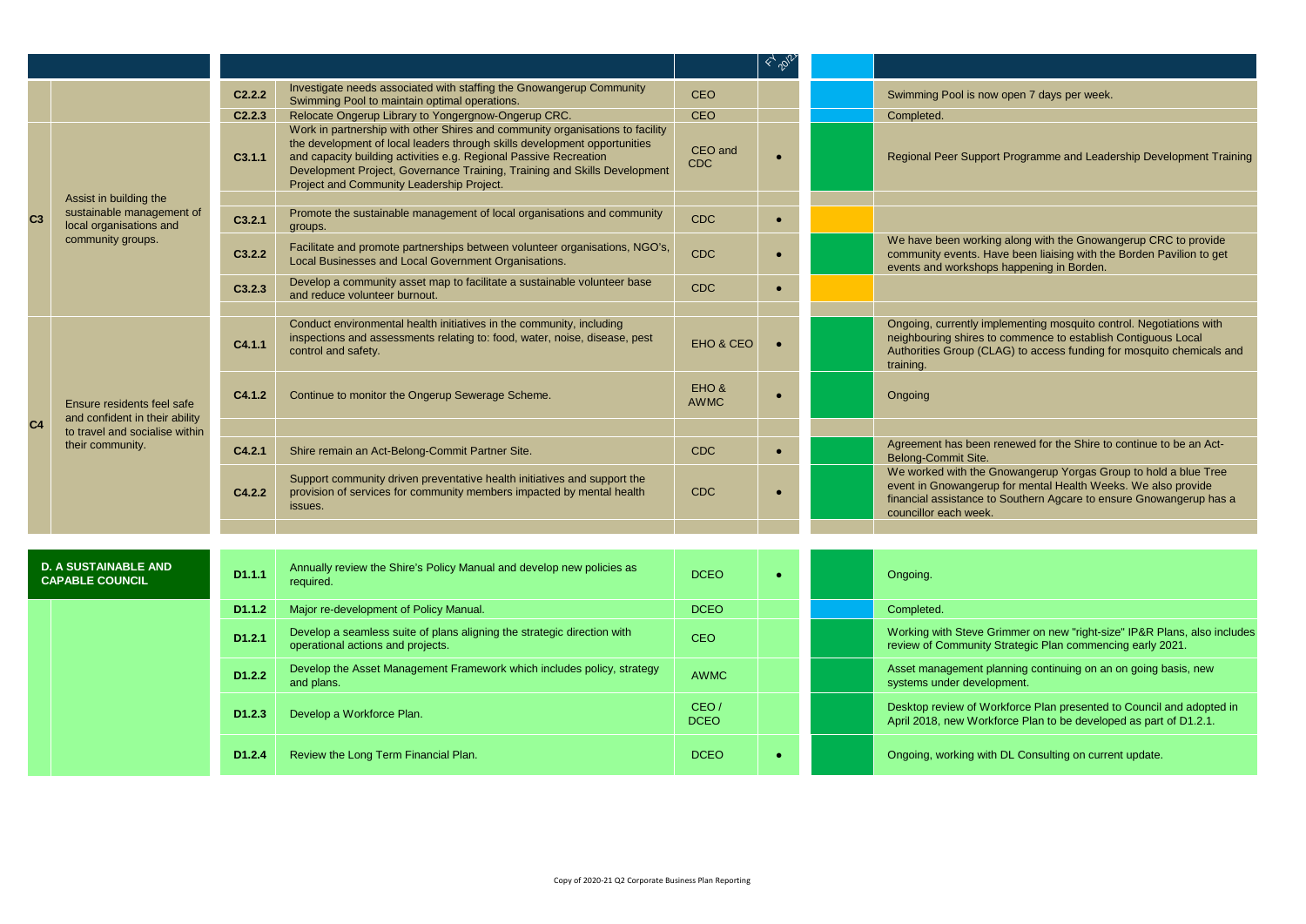|                |                                                                                                                    |                    |                                                                                                                                                                                                                                                                                                                                                           |                       | $\mathbb{Z}^{\mathcal{P}}$ |                                                                                                                                                                                                                                  |
|----------------|--------------------------------------------------------------------------------------------------------------------|--------------------|-----------------------------------------------------------------------------------------------------------------------------------------------------------------------------------------------------------------------------------------------------------------------------------------------------------------------------------------------------------|-----------------------|----------------------------|----------------------------------------------------------------------------------------------------------------------------------------------------------------------------------------------------------------------------------|
|                |                                                                                                                    | C2.2.2             | Investigate needs associated with staffing the Gnowangerup Community<br>Swimming Pool to maintain optimal operations.                                                                                                                                                                                                                                     | <b>CEO</b>            |                            | Swimming Pool is now open 7 days per week.                                                                                                                                                                                       |
|                |                                                                                                                    | C2.2.3             | Relocate Ongerup Library to Yongergnow-Ongerup CRC.                                                                                                                                                                                                                                                                                                       | CEO                   |                            | Completed.                                                                                                                                                                                                                       |
|                |                                                                                                                    | C3.1.1             | Work in partnership with other Shires and community organisations to facility<br>the development of local leaders through skills development opportunities<br>and capacity building activities e.g. Regional Passive Recreation<br>Development Project, Governance Training, Training and Skills Development<br>Project and Community Leadership Project. | CEO and<br><b>CDC</b> |                            | Regional Peer Support Programme and Leadership Development Training                                                                                                                                                              |
| C <sub>3</sub> | Assist in building the<br>sustainable management of<br>local organisations and                                     | C3.2.1             | Promote the sustainable management of local organisations and community<br>groups.                                                                                                                                                                                                                                                                        | <b>CDC</b>            | $\bullet$                  |                                                                                                                                                                                                                                  |
|                | community groups.                                                                                                  | C3.2.2             | Facilitate and promote partnerships between volunteer organisations, NGO's,<br>Local Businesses and Local Government Organisations.                                                                                                                                                                                                                       | <b>CDC</b>            |                            | We have been working along with the Gnowangerup CRC to provide<br>community events. Have been liaising with the Borden Pavilion to get<br>events and workshops happening in Borden.                                              |
|                |                                                                                                                    | C3.2.3             | Develop a community asset map to facilitate a sustainable volunteer base<br>and reduce volunteer burnout.                                                                                                                                                                                                                                                 | <b>CDC</b>            |                            |                                                                                                                                                                                                                                  |
|                |                                                                                                                    | C4.1.1             | Conduct environmental health initiatives in the community, including<br>inspections and assessments relating to: food, water, noise, disease, pest<br>control and safety.                                                                                                                                                                                 | EHO & CEO             |                            | Ongoing, currently implementing mosquito control. Negotiations with<br>neighbouring shires to commence to establish Contiguous Local<br>Authorities Group (CLAG) to access funding for mosquito chemicals and<br>training.       |
|                | Ensure residents feel safe<br>and confident in their ability<br>to travel and socialise within<br>their community. | C4.1.2             | Continue to monitor the Ongerup Sewerage Scheme.                                                                                                                                                                                                                                                                                                          | EHO &<br><b>AWMC</b>  |                            | Ongoing                                                                                                                                                                                                                          |
| C <sub>4</sub> |                                                                                                                    |                    |                                                                                                                                                                                                                                                                                                                                                           |                       |                            |                                                                                                                                                                                                                                  |
|                |                                                                                                                    | C4.2.1             | Shire remain an Act-Belong-Commit Partner Site.                                                                                                                                                                                                                                                                                                           | <b>CDC</b>            |                            | Agreement has been renewed for the Shire to continue to be an Act-<br>Belong-Commit Site.                                                                                                                                        |
|                |                                                                                                                    | C4.2.2             | Support community driven preventative health initiatives and support the<br>provision of services for community members impacted by mental health<br>issues.                                                                                                                                                                                              | <b>CDC</b>            |                            | We worked with the Gnowangerup Yorgas Group to hold a blue Tree<br>event in Gnowangerup for mental Health Weeks. We also provide<br>financial assistance to Southern Agcare to ensure Gnowangerup has a<br>councillor each week. |
|                |                                                                                                                    |                    |                                                                                                                                                                                                                                                                                                                                                           |                       |                            |                                                                                                                                                                                                                                  |
|                |                                                                                                                    |                    |                                                                                                                                                                                                                                                                                                                                                           |                       |                            |                                                                                                                                                                                                                                  |
|                | <b>D. A SUSTAINABLE AND</b><br><b>CAPABLE COUNCIL</b>                                                              | D <sub>1.1.1</sub> | Annually review the Shire's Policy Manual and develop new policies as<br>required.                                                                                                                                                                                                                                                                        | <b>DCEO</b>           |                            | Ongoing.                                                                                                                                                                                                                         |
|                |                                                                                                                    | D <sub>1.1.2</sub> | Major re-development of Policy Manual.                                                                                                                                                                                                                                                                                                                    | <b>DCEO</b>           |                            | Completed.                                                                                                                                                                                                                       |
|                |                                                                                                                    | D1.2.1             | Develop a seamless suite of plans aligning the strategic direction with<br>operational actions and projects.                                                                                                                                                                                                                                              | <b>CEO</b>            |                            | Working with Steve Grimmer on new "right-size" IP&R Plans, also includes<br>review of Community Strategic Plan commencing early 2021.                                                                                            |
|                |                                                                                                                    | D1.2.2             | Develop the Asset Management Framework which includes policy, strategy<br>and plans.                                                                                                                                                                                                                                                                      | <b>AWMC</b>           |                            | Asset management planning continuing on an on going basis, new<br>systems under development.                                                                                                                                     |
|                |                                                                                                                    | D <sub>1.2.3</sub> | Develop a Workforce Plan.                                                                                                                                                                                                                                                                                                                                 | CEO/<br><b>DCEO</b>   |                            | Desktop review of Workforce Plan presented to Council and adopted in<br>April 2018, new Workforce Plan to be developed as part of D1.2.1.                                                                                        |
|                |                                                                                                                    | D <sub>1.2.4</sub> | Review the Long Term Financial Plan.                                                                                                                                                                                                                                                                                                                      | <b>DCEO</b>           |                            | Ongoing, working with DL Consulting on current update.                                                                                                                                                                           |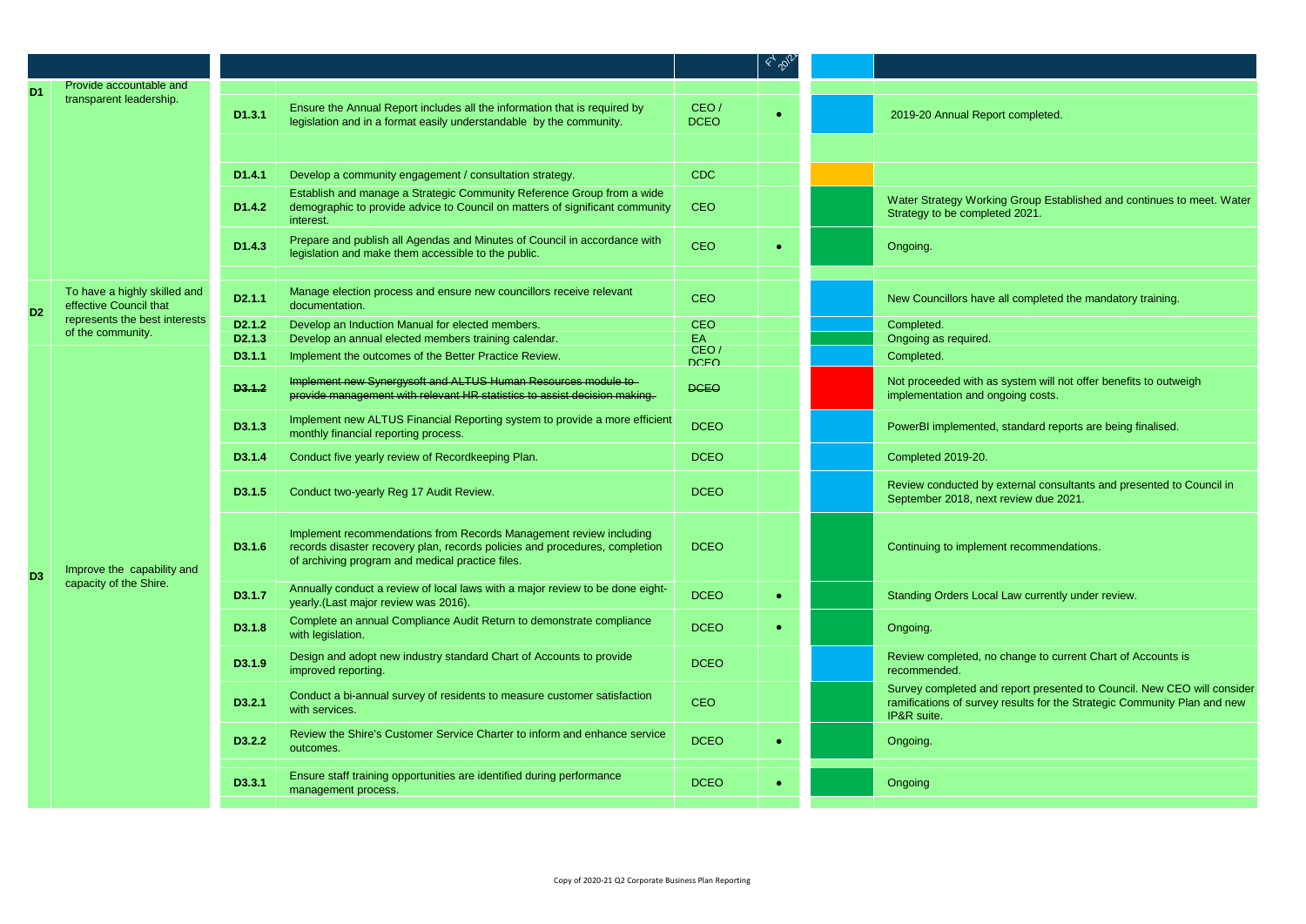|                |                                                        |                     |                                                                                                                                                                                                       |                     | 45.56 |                                                                                                                                                                    |
|----------------|--------------------------------------------------------|---------------------|-------------------------------------------------------------------------------------------------------------------------------------------------------------------------------------------------------|---------------------|-------|--------------------------------------------------------------------------------------------------------------------------------------------------------------------|
| D <sub>1</sub> | Provide accountable and                                |                     |                                                                                                                                                                                                       |                     |       |                                                                                                                                                                    |
|                | transparent leadership.                                | D1.3.1              | Ensure the Annual Report includes all the information that is required by<br>legislation and in a format easily understandable by the community.                                                      | CEO/<br><b>DCEO</b> |       | 2019-20 Annual Report completed.                                                                                                                                   |
|                |                                                        |                     |                                                                                                                                                                                                       |                     |       |                                                                                                                                                                    |
|                |                                                        | D <sub>1.4.1</sub>  | Develop a community engagement / consultation strategy.                                                                                                                                               | <b>CDC</b>          |       |                                                                                                                                                                    |
|                |                                                        | D <sub>1.4.2</sub>  | Establish and manage a Strategic Community Reference Group from a wide<br>demographic to provide advice to Council on matters of significant community<br>interest.                                   | <b>CEO</b>          |       | Water Strategy Working Group Established and continues to meet. Water<br>Strategy to be completed 2021.                                                            |
|                |                                                        | D <sub>1.4.3</sub>  | Prepare and publish all Agendas and Minutes of Council in accordance with<br>legislation and make them accessible to the public.                                                                      | <b>CEO</b>          |       | Ongoing.                                                                                                                                                           |
|                |                                                        |                     |                                                                                                                                                                                                       |                     |       |                                                                                                                                                                    |
| D <sub>2</sub> | To have a highly skilled and<br>effective Council that | D <sub>2.1.1</sub>  | Manage election process and ensure new councillors receive relevant<br>documentation.                                                                                                                 | <b>CEO</b>          |       | New Councillors have all completed the mandatory training.                                                                                                         |
|                | represents the best interests                          | D <sub>2</sub> .1.2 | Develop an Induction Manual for elected members.                                                                                                                                                      | <b>CEO</b>          |       | Completed.                                                                                                                                                         |
|                | of the community.                                      | D <sub>2</sub> .1.3 | Develop an annual elected members training calendar.                                                                                                                                                  | EA                  |       | Ongoing as required.                                                                                                                                               |
|                |                                                        | D3.1.1              | Implement the outcomes of the Better Practice Review.                                                                                                                                                 | CEO/<br><b>DCEO</b> |       | Completed.                                                                                                                                                         |
|                |                                                        | D3.1.2              | Implement new Synergysoft and ALTUS Human Resources module to-<br>provide management with relevant HR statistics to assist decision making.                                                           | <b>DCEO</b>         |       | Not proceeded with as system will not offer benefits to outweigh<br>implementation and ongoing costs.                                                              |
|                | Improve the capability and                             | D3.1.3              | Implement new ALTUS Financial Reporting system to provide a more efficient<br>monthly financial reporting process.                                                                                    | <b>DCEO</b>         |       | PowerBI implemented, standard reports are being finalised.                                                                                                         |
|                |                                                        | D3.1.4              | Conduct five yearly review of Recordkeeping Plan.                                                                                                                                                     | <b>DCEO</b>         |       | Completed 2019-20.                                                                                                                                                 |
|                |                                                        | D3.1.5              | Conduct two-yearly Reg 17 Audit Review.                                                                                                                                                               | <b>DCEO</b>         |       | Review conducted by external consultants and presented to Council in<br>September 2018, next review due 2021.                                                      |
| D <sub>3</sub> |                                                        | D3.1.6              | Implement recommendations from Records Management review including<br>records disaster recovery plan, records policies and procedures, completion<br>of archiving program and medical practice files. | <b>DCEO</b>         |       | Continuing to implement recommendations.                                                                                                                           |
|                | capacity of the Shire.                                 | D3.1.7              | Annually conduct a review of local laws with a major review to be done eight-<br>yearly. (Last major review was 2016).                                                                                | <b>DCEO</b>         |       | Standing Orders Local Law currently under review.                                                                                                                  |
|                |                                                        | D3.1.8              | Complete an annual Compliance Audit Return to demonstrate compliance<br>with legislation.                                                                                                             | <b>DCEO</b>         |       | Ongoing.                                                                                                                                                           |
|                |                                                        | D3.1.9              | Design and adopt new industry standard Chart of Accounts to provide<br>improved reporting.                                                                                                            | <b>DCEO</b>         |       | Review completed, no change to current Chart of Accounts is<br>recommended.                                                                                        |
|                |                                                        | D3.2.1              | Conduct a bi-annual survey of residents to measure customer satisfaction<br>with services.                                                                                                            | <b>CEO</b>          |       | Survey completed and report presented to Council. New CEO will consider<br>ramifications of survey results for the Strategic Community Plan and new<br>IP&R suite. |
|                |                                                        | D3.2.2              | Review the Shire's Customer Service Charter to inform and enhance service<br>outcomes.                                                                                                                | <b>DCEO</b>         |       | Ongoing.                                                                                                                                                           |
|                |                                                        | D3.3.1              | Ensure staff training opportunities are identified during performance<br>management process.                                                                                                          | <b>DCEO</b>         |       | Ongoing                                                                                                                                                            |
|                |                                                        |                     |                                                                                                                                                                                                       |                     |       |                                                                                                                                                                    |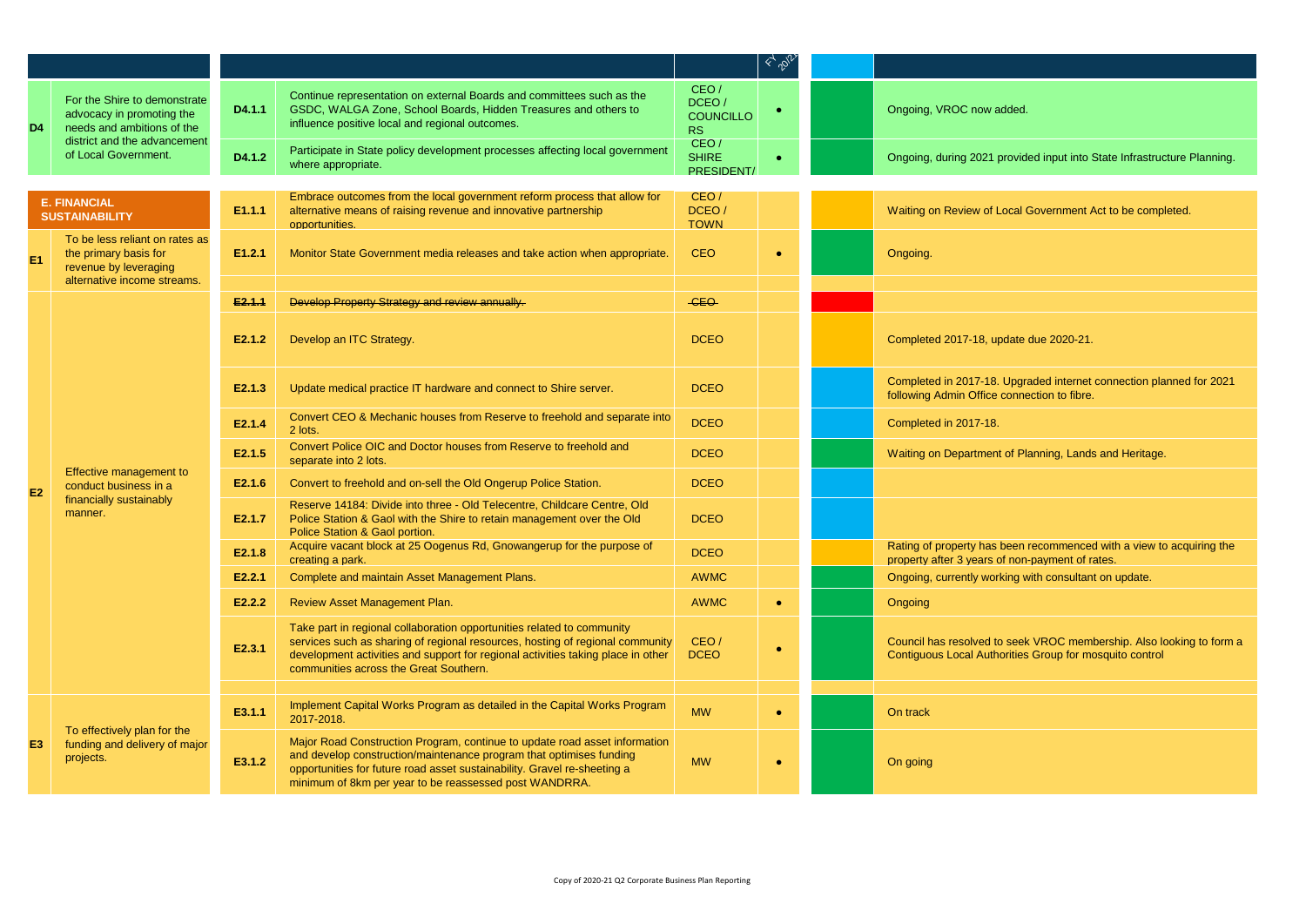|                                              |                                                                                                                 |                  |                                                                                                                                                                                                                                                                                         |                                                | $4\%$     |                                                                                                                                 |
|----------------------------------------------|-----------------------------------------------------------------------------------------------------------------|------------------|-----------------------------------------------------------------------------------------------------------------------------------------------------------------------------------------------------------------------------------------------------------------------------------------|------------------------------------------------|-----------|---------------------------------------------------------------------------------------------------------------------------------|
| D <sub>4</sub>                               | For the Shire to demonstrate<br>advocacy in promoting the<br>needs and ambitions of the                         | D4.1.1           | Continue representation on external Boards and committees such as the<br>GSDC, WALGA Zone, School Boards, Hidden Treasures and others to<br>influence positive local and regional outcomes.                                                                                             | CEO/<br>DCEO/<br><b>COUNCILLO</b><br><b>RS</b> |           | Ongoing, VROC now added.                                                                                                        |
|                                              | district and the advancement<br>of Local Government.                                                            | D4.1.2           | Participate in State policy development processes affecting local government<br>where appropriate.                                                                                                                                                                                      | CEO/<br><b>SHIRE</b><br>PRESIDENT/             |           | Ongoing, during 2021 provided input into State Infrastructure Planning.                                                         |
|                                              |                                                                                                                 |                  |                                                                                                                                                                                                                                                                                         |                                                |           |                                                                                                                                 |
| <b>E. FINANCIAL</b><br><b>SUSTAINABILITY</b> |                                                                                                                 | E1.1.1           | Embrace outcomes from the local government reform process that allow for<br>alternative means of raising revenue and innovative partnership<br>opportunities.                                                                                                                           | CEO/<br>DCEO/<br><b>TOWN</b>                   |           | Waiting on Review of Local Government Act to be completed.                                                                      |
| E <sub>1</sub>                               | To be less reliant on rates as<br>the primary basis for<br>revenue by leveraging<br>alternative income streams. | E1.2.1           | Monitor State Government media releases and take action when appropriate.                                                                                                                                                                                                               | <b>CEO</b>                                     | $\bullet$ | Ongoing.                                                                                                                        |
|                                              |                                                                                                                 |                  |                                                                                                                                                                                                                                                                                         |                                                |           |                                                                                                                                 |
|                                              |                                                                                                                 | E2.1.1<br>E2.1.2 | Develop Property Strategy and review annually.<br>Develop an ITC Strategy.                                                                                                                                                                                                              | -CEO-<br><b>DCEO</b>                           |           | Completed 2017-18, update due 2020-21.                                                                                          |
|                                              | Effective management to<br>conduct business in a<br>financially sustainably<br>manner.                          | E2.1.3           | Update medical practice IT hardware and connect to Shire server.                                                                                                                                                                                                                        | <b>DCEO</b>                                    |           | Completed in 2017-18. Upgraded internet connection planned for 2021<br>following Admin Office connection to fibre.              |
|                                              |                                                                                                                 | E2.1.4           | Convert CEO & Mechanic houses from Reserve to freehold and separate into<br>2 lots.                                                                                                                                                                                                     | <b>DCEO</b>                                    |           | Completed in 2017-18.                                                                                                           |
|                                              |                                                                                                                 | E2.1.5           | Convert Police OIC and Doctor houses from Reserve to freehold and<br>separate into 2 lots.                                                                                                                                                                                              | <b>DCEO</b>                                    |           | Waiting on Department of Planning, Lands and Heritage.                                                                          |
| E <sub>2</sub>                               |                                                                                                                 | E2.1.6           | Convert to freehold and on-sell the Old Ongerup Police Station.                                                                                                                                                                                                                         | <b>DCEO</b>                                    |           |                                                                                                                                 |
|                                              |                                                                                                                 | E2.1.7           | Reserve 14184: Divide into three - Old Telecentre, Childcare Centre, Old<br>Police Station & Gaol with the Shire to retain management over the Old<br>Police Station & Gaol portion.                                                                                                    | <b>DCEO</b>                                    |           |                                                                                                                                 |
|                                              |                                                                                                                 | E2.1.8           | Acquire vacant block at 25 Oogenus Rd, Gnowangerup for the purpose of<br>creating a park.                                                                                                                                                                                               | <b>DCEO</b>                                    |           | Rating of property has been recommenced with a view to acquiring the<br>property after 3 years of non-payment of rates.         |
|                                              |                                                                                                                 | E2.2.1           | Complete and maintain Asset Management Plans.                                                                                                                                                                                                                                           | <b>AWMC</b>                                    |           | Ongoing, currently working with consultant on update.                                                                           |
|                                              |                                                                                                                 | E2.2.2           | Review Asset Management Plan.                                                                                                                                                                                                                                                           | <b>AWMC</b>                                    | $\bullet$ | Ongoing                                                                                                                         |
|                                              |                                                                                                                 | E2.3.1           | Take part in regional collaboration opportunities related to community<br>services such as sharing of regional resources, hosting of regional community<br>development activities and support for regional activities taking place in other<br>communities across the Great Southern.   | CEO/<br><b>DCEO</b>                            | $\bullet$ | Council has resolved to seek VROC membership. Also looking to form a<br>Contiguous Local Authorities Group for mosquito control |
|                                              |                                                                                                                 |                  |                                                                                                                                                                                                                                                                                         |                                                |           |                                                                                                                                 |
|                                              |                                                                                                                 | E3.1.1           | Implement Capital Works Program as detailed in the Capital Works Program<br>2017-2018.                                                                                                                                                                                                  | <b>MW</b>                                      | $\bullet$ | On track                                                                                                                        |
| E <sub>3</sub>                               | To effectively plan for the<br>funding and delivery of major<br>projects.                                       | E3.1.2           | Major Road Construction Program, continue to update road asset information<br>and develop construction/maintenance program that optimises funding<br>opportunities for future road asset sustainability. Gravel re-sheeting a<br>minimum of 8km per year to be reassessed post WANDRRA. | <b>MW</b>                                      | $\bullet$ | On going                                                                                                                        |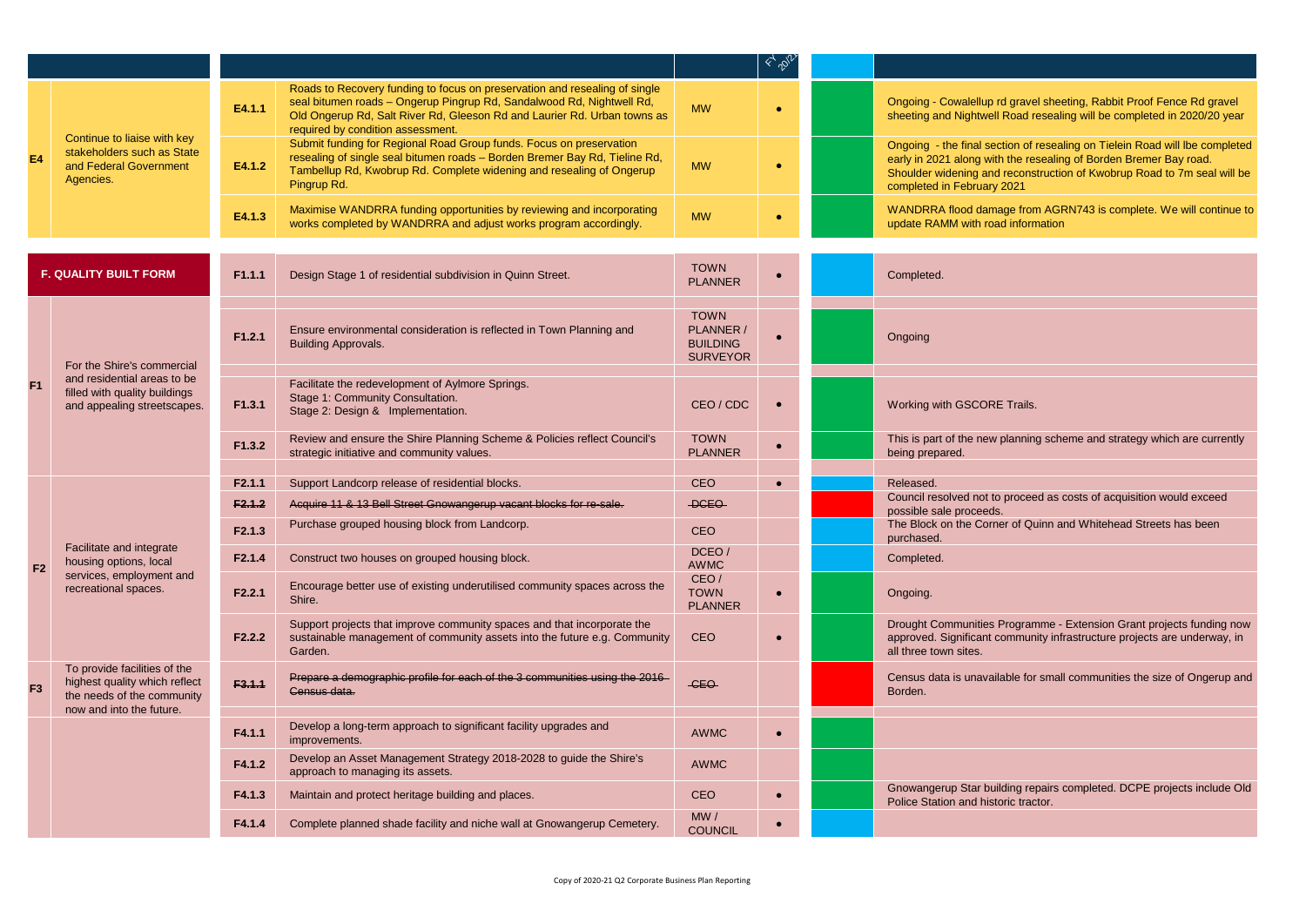|                              |                                                                                                  |                    |                                                                                                                                                                                                                                                                      |                                                                | $\leftarrow$ $\phi_{\!\scriptscriptstyle (\!\chi\!)}$ |                                                                                                                                                                                                                                                           |
|------------------------------|--------------------------------------------------------------------------------------------------|--------------------|----------------------------------------------------------------------------------------------------------------------------------------------------------------------------------------------------------------------------------------------------------------------|----------------------------------------------------------------|-------------------------------------------------------|-----------------------------------------------------------------------------------------------------------------------------------------------------------------------------------------------------------------------------------------------------------|
|                              |                                                                                                  | E4.1.1             | Roads to Recovery funding to focus on preservation and resealing of single<br>seal bitumen roads - Ongerup Pingrup Rd, Sandalwood Rd, Nightwell Rd,<br>Old Ongerup Rd, Salt River Rd, Gleeson Rd and Laurier Rd. Urban towns as<br>required by condition assessment. | <b>MW</b>                                                      | $\bullet$                                             | Ongoing - Cowalellup rd gravel sheeting, Rabbit Proof Fence Rd gravel<br>sheeting and Nightwell Road resealing will be completed in 2020/20 year                                                                                                          |
| E4                           | Continue to liaise with key<br>stakeholders such as State<br>and Federal Government<br>Agencies. | E4.1.2             | Submit funding for Regional Road Group funds. Focus on preservation<br>resealing of single seal bitumen roads - Borden Bremer Bay Rd, Tieline Rd,<br>Tambellup Rd, Kwobrup Rd. Complete widening and resealing of Ongerup<br>Pingrup Rd.                             | <b>MW</b>                                                      | $\bullet$                                             | Ongoing - the final section of resealing on Tielein Road will lbe completed<br>early in 2021 along with the resealing of Borden Bremer Bay road.<br>Shoulder widening and reconstruction of Kwobrup Road to 7m seal will be<br>completed in February 2021 |
|                              |                                                                                                  | E4.1.3             | Maximise WANDRRA funding opportunities by reviewing and incorporating<br>works completed by WANDRRA and adjust works program accordingly.                                                                                                                            | <b>MW</b>                                                      | $\bullet$                                             | WANDRRA flood damage from AGRN743 is complete. We will continue to<br>update RAMM with road information                                                                                                                                                   |
|                              |                                                                                                  |                    |                                                                                                                                                                                                                                                                      |                                                                |                                                       |                                                                                                                                                                                                                                                           |
| <b>F. QUALITY BUILT FORM</b> |                                                                                                  | F1.1.1             | Design Stage 1 of residential subdivision in Quinn Street.                                                                                                                                                                                                           | <b>TOWN</b><br><b>PLANNER</b>                                  |                                                       | Completed.                                                                                                                                                                                                                                                |
|                              | For the Shire's commercial                                                                       | F1.2.1             | Ensure environmental consideration is reflected in Town Planning and<br><b>Building Approvals.</b>                                                                                                                                                                   | <b>TOWN</b><br>PLANNER /<br><b>BUILDING</b><br><b>SURVEYOR</b> | $\bullet$                                             | Ongoing                                                                                                                                                                                                                                                   |
| F1                           | and residential areas to be<br>filled with quality buildings<br>and appealing streetscapes.      | F1.3.1             | Facilitate the redevelopment of Aylmore Springs.<br>Stage 1: Community Consultation.<br>Stage 2: Design & Implementation.                                                                                                                                            | CEO / CDC                                                      | $\bullet$                                             | Working with GSCORE Trails.                                                                                                                                                                                                                               |
|                              |                                                                                                  | F1.3.2             | Review and ensure the Shire Planning Scheme & Policies reflect Council's<br>strategic initiative and community values.                                                                                                                                               | <b>TOWN</b><br><b>PLANNER</b>                                  | $\bullet$                                             | This is part of the new planning scheme and strategy which are currently<br>being prepared.                                                                                                                                                               |
|                              |                                                                                                  | F2.1.1             | Support Landcorp release of residential blocks.                                                                                                                                                                                                                      | <b>CEO</b>                                                     | $\bullet$                                             | Released.                                                                                                                                                                                                                                                 |
|                              |                                                                                                  | F2.1.2             | Acquire 11 & 13 Bell Street Gnowangerup vacant blocks for re-sale.                                                                                                                                                                                                   | <b>DCEO</b>                                                    |                                                       | Council resolved not to proceed as costs of acquisition would exceed<br>possible sale proceeds.                                                                                                                                                           |
|                              |                                                                                                  | F2.1.3             | Purchase grouped housing block from Landcorp.                                                                                                                                                                                                                        | <b>CEO</b>                                                     |                                                       | The Block on the Corner of Quinn and Whitehead Streets has been<br>purchased.                                                                                                                                                                             |
| F <sub>2</sub>               | Facilitate and integrate<br>housing options, local                                               | F <sub>2.1.4</sub> | Construct two houses on grouped housing block.                                                                                                                                                                                                                       | DCEO/<br><b>AWMC</b>                                           |                                                       | Completed.                                                                                                                                                                                                                                                |
|                              | services, employment and<br>recreational spaces.                                                 | F2.2.1             | Encourage better use of existing underutilised community spaces across the<br>Shire.                                                                                                                                                                                 | CEO/<br><b>TOWN</b><br><b>PLANNER</b>                          | $\bullet$                                             | Ongoing.                                                                                                                                                                                                                                                  |
|                              |                                                                                                  | F2.2.2             | Support projects that improve community spaces and that incorporate the<br>sustainable management of community assets into the future e.g. Community<br>Garden.                                                                                                      | <b>CEO</b>                                                     | $\bullet$                                             | Drought Communities Programme - Extension Grant projects funding now<br>approved. Significant community infrastructure projects are underway, in<br>all three town sites.                                                                                 |
| F <sub>3</sub>               | To provide facilities of the<br>highest quality which reflect<br>the needs of the community      | F3.1.1             | Prepare a demographic profile for each of the 3 communities using the 2016<br>Census data.                                                                                                                                                                           | -CEO                                                           |                                                       | Census data is unavailable for small communities the size of Ongerup and<br>Borden.                                                                                                                                                                       |
|                              | now and into the future.                                                                         | F4.1.1             | Develop a long-term approach to significant facility upgrades and<br>improvements.                                                                                                                                                                                   | <b>AWMC</b>                                                    | $\bullet$                                             |                                                                                                                                                                                                                                                           |
|                              |                                                                                                  | F4.1.2             | Develop an Asset Management Strategy 2018-2028 to guide the Shire's<br>approach to managing its assets.                                                                                                                                                              | <b>AWMC</b>                                                    |                                                       |                                                                                                                                                                                                                                                           |
|                              |                                                                                                  | F4.1.3             | Maintain and protect heritage building and places.                                                                                                                                                                                                                   | <b>CEO</b>                                                     | $\bullet$                                             | Gnowangerup Star building repairs completed. DCPE projects include Old<br>Police Station and historic tractor.                                                                                                                                            |
|                              |                                                                                                  | F4.1.4             | Complete planned shade facility and niche wall at Gnowangerup Cemetery.                                                                                                                                                                                              | MW /<br><b>COUNCIL</b>                                         |                                                       |                                                                                                                                                                                                                                                           |